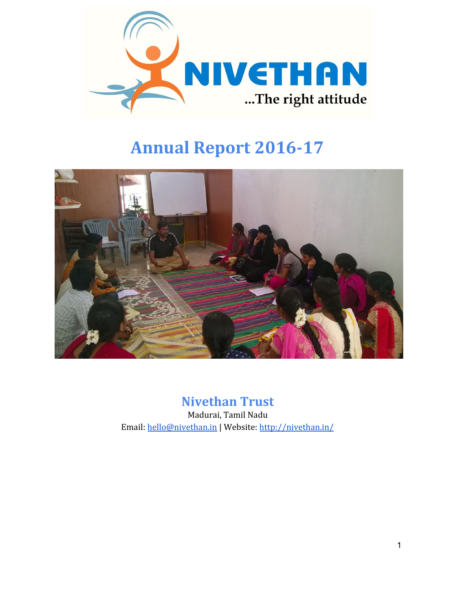

# **Annual Report 2016-17**



# **Nivethan Trust**

Madurai, Tamil Nadu Email: [hello@nivethan.in](mailto:hello@nivethan.in) | Website:<http://nivethan.in/>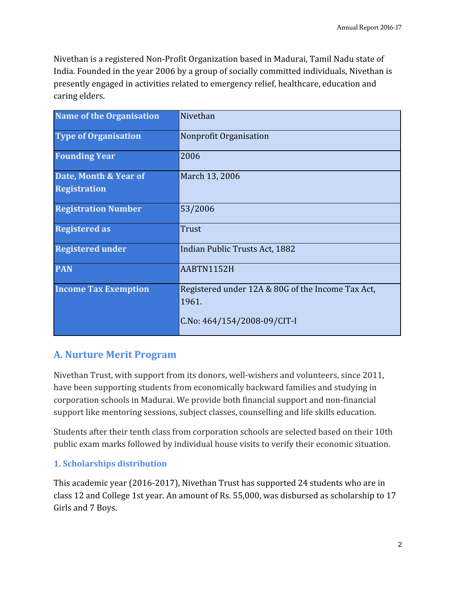Nivethan is a registered Non-Profit Organization based in Madurai, Tamil Nadu state of India. Founded in the year 2006 by a group of socially committed individuals, Nivethan is presently engaged in activities related to emergency relief, healthcare, education and caring elders.

| <b>Name of the Organisation</b> | Nivethan                                          |
|---------------------------------|---------------------------------------------------|
| <b>Type of Organisation</b>     | Nonprofit Organisation                            |
| <b>Founding Year</b>            | 2006                                              |
| Date, Month & Year of           | March 13, 2006                                    |
| <b>Registration</b>             |                                                   |
| <b>Registration Number</b>      | 53/2006                                           |
| <b>Registered as</b>            | Trust                                             |
| <b>Registered under</b>         | Indian Public Trusts Act, 1882                    |
| <b>PAN</b>                      | AABTN1152H                                        |
| <b>Income Tax Exemption</b>     | Registered under 12A & 80G of the Income Tax Act, |
|                                 | 1961.                                             |
|                                 | C.No: 464/154/2008-09/CIT-I                       |

# **A. Nurture Merit Program**

Nivethan Trust, with support from its donors, well-wishers and volunteers, since 2011, have been supporting students from economically backward families and studying in corporation schools in Madurai. We provide both financial support and non-financial support like mentoring sessions, subject classes, counselling and life skills education.

Students after their tenth class from corporation schools are selected based on their 10th public exam marks followed by individual house visits to verify their economic situation.

#### **1. Scholarships distribution**

This academic year (2016-2017), Nivethan Trust has supported 24 students who are in class 12 and College 1st year. An amount of Rs. 55,000, was disbursed as scholarship to 17 Girls and 7 Boys.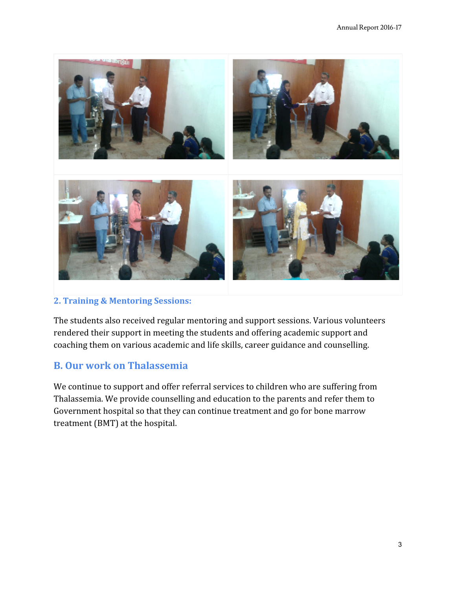

#### **2. Training & Mentoring Sessions:**

The students also received regular mentoring and support sessions. Various volunteers rendered their support in meeting the students and offering academic support and coaching them on various academic and life skills, career guidance and counselling.

## **B. Our work on Thalassemia**

We continue to support and offer referral services to children who are suffering from Thalassemia. We provide counselling and education to the parents and refer them to Government hospital so that they can continue treatment and go for bone marrow treatment (BMT) at the hospital.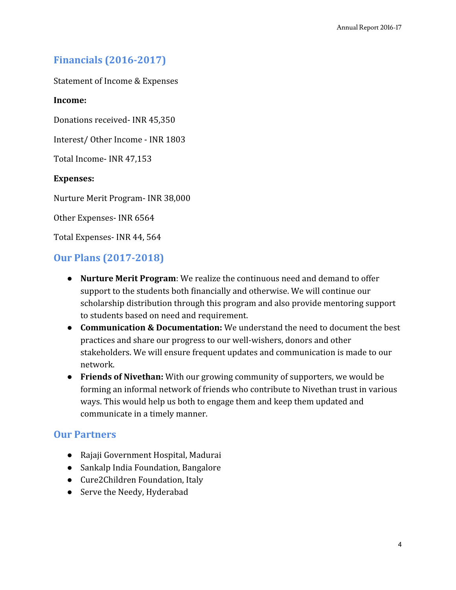# **Financials (2016-2017)**

Statement of Income & Expenses

#### **Income:**

Donations received- INR 45,350

Interest/ Other Income - INR 1803

Total Income- INR 47,153

#### **Expenses:**

Nurture Merit Program- INR 38,000

Other Expenses- INR 6564

Total Expenses- INR 44, 564

### **Our Plans (2017-2018)**

- **Nurture Merit Program**: We realize the continuous need and demand to offer support to the students both financially and otherwise. We will continue our scholarship distribution through this program and also provide mentoring support to students based on need and requirement.
- **Communication & Documentation:** We understand the need to document the best practices and share our progress to our well-wishers, donors and other stakeholders. We will ensure frequent updates and communication is made to our network.
- **Friends of Nivethan:** With our growing community of supporters, we would be forming an informal network of friends who contribute to Nivethan trust in various ways. This would help us both to engage them and keep them updated and communicate in a timely manner.

#### **Our Partners**

- Rajaji Government Hospital, Madurai
- Sankalp India Foundation, Bangalore
- Cure2Children Foundation, Italy
- Serve the Needy, Hyderabad